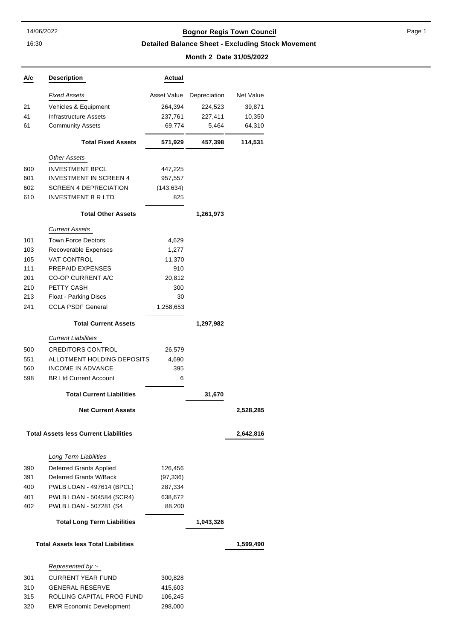16:30

### 14/06/2022 **Bognor Regis Town Council**

**Detailed Balance Sheet - Excluding Stock Movement**

#### **Month 2 Date 31/05/2022**

| A/c | <b>Description</b>                           | Actual      |              |           |
|-----|----------------------------------------------|-------------|--------------|-----------|
|     | <b>Fixed Assets</b>                          | Asset Value | Depreciation | Net Value |
| 21  | Vehicles & Equipment                         | 264,394     | 224,523      | 39,871    |
| 41  | Infrastructure Assets                        | 237,761     | 227,411      | 10,350    |
| 61  | <b>Community Assets</b>                      | 69,774      | 5,464        | 64,310    |
|     | <b>Total Fixed Assets</b>                    | 571,929     | 457,398      | 114,531   |
|     | <b>Other Assets</b>                          |             |              |           |
| 600 | <b>INVESTMENT BPCL</b>                       | 447,225     |              |           |
| 601 | <b>INVESTMENT IN SCREEN 4</b>                | 957,557     |              |           |
| 602 | <b>SCREEN 4 DEPRECIATION</b>                 | (143, 634)  |              |           |
| 610 | <b>INVESTMENT B R LTD</b>                    | 825         |              |           |
|     | <b>Total Other Assets</b>                    |             | 1,261,973    |           |
|     | <b>Current Assets</b>                        |             |              |           |
| 101 | <b>Town Force Debtors</b>                    | 4,629       |              |           |
| 103 | Recoverable Expenses                         | 1,277       |              |           |
| 105 | <b>VAT CONTROL</b>                           | 11,370      |              |           |
| 111 | PREPAID EXPENSES                             | 910         |              |           |
| 201 | <b>CO-OP CURRENT A/C</b>                     | 20,812      |              |           |
| 210 | <b>PETTY CASH</b>                            | 300         |              |           |
| 213 | Float - Parking Discs                        | 30          |              |           |
| 241 | <b>CCLA PSDF General</b>                     | 1,258,653   |              |           |
|     | <b>Total Current Assets</b>                  |             | 1,297,982    |           |
|     | <b>Current Liabilities</b>                   |             |              |           |
| 500 | <b>CREDITORS CONTROL</b>                     | 26,579      |              |           |
| 551 | ALLOTMENT HOLDING DEPOSITS                   | 4,690       |              |           |
| 560 | <b>INCOME IN ADVANCE</b>                     | 395         |              |           |
| 598 | <b>BR Ltd Current Account</b>                | 6           |              |           |
|     | <b>Total Current Liabilities</b>             |             | 31,670       |           |
|     | <b>Net Current Assets</b>                    |             |              | 2,528,285 |
|     | <b>Total Assets less Current Liabilities</b> |             |              | 2,642,816 |
|     |                                              |             |              |           |
|     | Long Term Liabilities                        |             |              |           |
| 390 | <b>Deferred Grants Applied</b>               | 126,456     |              |           |
| 391 | Deferred Grants W/Back                       | (97, 336)   |              |           |
| 400 | PWLB LOAN - 497614 (BPCL)                    | 287,334     |              |           |
| 401 | PWLB LOAN - 504584 (SCR4)                    | 638,672     |              |           |
| 402 | PWLB LOAN - 507281 (S4                       | 88,200      |              |           |
|     | <b>Total Long Term Liabilities</b>           |             | 1,043,326    |           |
|     | <b>Total Assets less Total Liabilities</b>   |             |              | 1,599,490 |
|     | Represented by :-                            |             |              |           |
| 301 | <b>CURRENT YEAR FUND</b>                     | 300,828     |              |           |
| 310 | <b>GENERAL RESERVE</b>                       | 415,603     |              |           |
| 315 | ROLLING CAPITAL PROG FUND                    | 106,245     |              |           |
| 320 | <b>EMR Economic Development</b>              | 298,000     |              |           |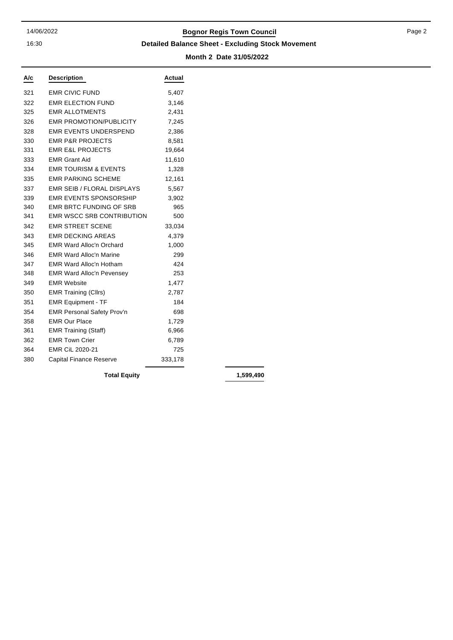16:30

## 14/06/2022 **Bognor Regis Town Council**

**Detailed Balance Sheet - Excluding Stock Movement**

**Month 2 Date 31/05/2022**

| A/c | <b>Description</b>                | Actual  |
|-----|-----------------------------------|---------|
| 321 | <b>EMR CIVIC FUND</b>             | 5,407   |
| 322 | <b>EMR ELECTION FUND</b>          | 3,146   |
| 325 | <b>EMR ALLOTMENTS</b>             | 2,431   |
| 326 | <b>EMR PROMOTION/PUBLICITY</b>    | 7,245   |
| 328 | <b>EMR EVENTS UNDERSPEND</b>      | 2,386   |
| 330 | <b>EMR P&amp;R PROJECTS</b>       | 8,581   |
| 331 | <b>EMR E&amp;L PROJECTS</b>       | 19,664  |
| 333 | <b>EMR Grant Aid</b>              | 11,610  |
| 334 | <b>EMR TOURISM &amp; EVENTS</b>   | 1,328   |
| 335 | <b>EMR PARKING SCHEME</b>         | 12,161  |
| 337 | <b>EMR SEIB / FLORAL DISPLAYS</b> | 5,567   |
| 339 | <b>EMR EVENTS SPONSORSHIP</b>     | 3,902   |
| 340 | <b>EMR BRTC FUNDING OF SRB</b>    | 965     |
| 341 | <b>EMR WSCC SRB CONTRIBUTION</b>  | 500     |
| 342 | <b>EMR STREET SCENE</b>           | 33,034  |
| 343 | <b>EMR DECKING AREAS</b>          | 4,379   |
| 345 | <b>EMR Ward Alloc'n Orchard</b>   | 1,000   |
| 346 | <b>EMR Ward Alloc'n Marine</b>    | 299     |
| 347 | <b>EMR Ward Alloc'n Hotham</b>    | 424     |
| 348 | <b>EMR Ward Alloc'n Pevensey</b>  | 253     |
| 349 | <b>EMR Website</b>                | 1,477   |
| 350 | <b>EMR Training (Cllrs)</b>       | 2,787   |
| 351 | <b>EMR Equipment - TF</b>         | 184     |
| 354 | <b>EMR Personal Safety Prov'n</b> | 698     |
| 358 | <b>EMR Our Place</b>              | 1,729   |
| 361 | <b>EMR Training (Staff)</b>       | 6,966   |
| 362 | <b>EMR Town Crier</b>             | 6,789   |
| 364 | EMR CiL 2020-21                   | 725     |
| 380 | <b>Capital Finance Reserve</b>    | 333,178 |

**Total Equity 1,599,490**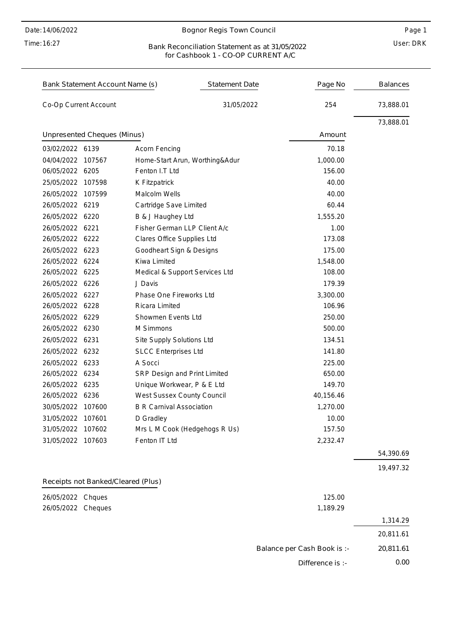Time: 16:27

#### Bognor Regis Town Council

#### User: DRK Bank Reconciliation Statement as at 31/05/2022 for Cashbook 1 - CO-OP CURRENT A/C

| Bank Statement Account Name (s)    | <b>Statement Date</b>           | Page No                     | <b>Balances</b> |
|------------------------------------|---------------------------------|-----------------------------|-----------------|
| Co-Op Current Account              | 31/05/2022                      | 254                         | 73,888.01       |
|                                    |                                 |                             | 73,888.01       |
| Unpresented Cheques (Minus)        |                                 | Amount                      |                 |
| 03/02/2022 6139                    | <b>Acorn Fencing</b>            | 70.18                       |                 |
| 04/04/2022 107567                  | Home-Start Arun, Worthing&Adur  | 1,000.00                    |                 |
| 06/05/2022 6205                    | Fenton I.T Ltd                  | 156.00                      |                 |
| 25/05/2022 107598                  | K Fitzpatrick                   | 40.00                       |                 |
| 26/05/2022 107599                  | Malcolm Wells                   | 40.00                       |                 |
| 26/05/2022 6219                    | Cartridge Save Limited          | 60.44                       |                 |
| 26/05/2022 6220                    | B & J Haughey Ltd               | 1,555.20                    |                 |
| 26/05/2022 6221                    | Fisher German LLP Client A/c    | 1.00                        |                 |
| 26/05/2022 6222                    | Clares Office Supplies Ltd      | 173.08                      |                 |
| 26/05/2022 6223                    | Goodheart Sign & Designs        | 175.00                      |                 |
| 26/05/2022 6224                    | Kiwa Limited                    | 1,548.00                    |                 |
| 26/05/2022 6225                    | Medical & Support Services Ltd  | 108.00                      |                 |
| 26/05/2022 6226                    | J Davis                         | 179.39                      |                 |
| 26/05/2022 6227                    | Phase One Fireworks Ltd         | 3,300.00                    |                 |
| 26/05/2022 6228                    | Ricara Limited                  | 106.96                      |                 |
| 26/05/2022 6229                    | Showmen Events Ltd              | 250.00                      |                 |
| 26/05/2022 6230                    | M Simmons                       | 500.00                      |                 |
| 26/05/2022 6231                    | Site Supply Solutions Ltd       | 134.51                      |                 |
| 26/05/2022 6232                    | <b>SLCC Enterprises Ltd</b>     | 141.80                      |                 |
| 26/05/2022 6233                    | A Socci                         | 225.00                      |                 |
| 26/05/2022 6234                    | SRP Design and Print Limited    | 650.00                      |                 |
| 26/05/2022 6235                    | Unique Workwear, P & E Ltd      | 149.70                      |                 |
| 26/05/2022 6236                    | West Sussex County Council      | 40,156.46                   |                 |
| 30/05/2022 107600                  | <b>B R Carnival Association</b> | 1,270.00                    |                 |
| 31/05/2022 107601                  | D Gradley                       | 10.00                       |                 |
| 31/05/2022 107602                  | Mrs L M Cook (Hedgehogs R Us)   | 157.50                      |                 |
| 31/05/2022 107603                  | Fenton IT Ltd                   | 2,232.47                    |                 |
|                                    |                                 |                             | 54,390.69       |
|                                    |                                 |                             | 19,497.32       |
| Receipts not Banked/Cleared (Plus) |                                 |                             |                 |
| 26/05/2022 Chques                  |                                 | 125.00                      |                 |
| 26/05/2022<br>Cheques              |                                 | 1,189.29                    |                 |
|                                    |                                 |                             | 1,314.29        |
|                                    |                                 |                             | 20,811.61       |
|                                    |                                 | Balance per Cash Book is :- | 20,811.61       |
|                                    |                                 | Difference is :-            | 0.00            |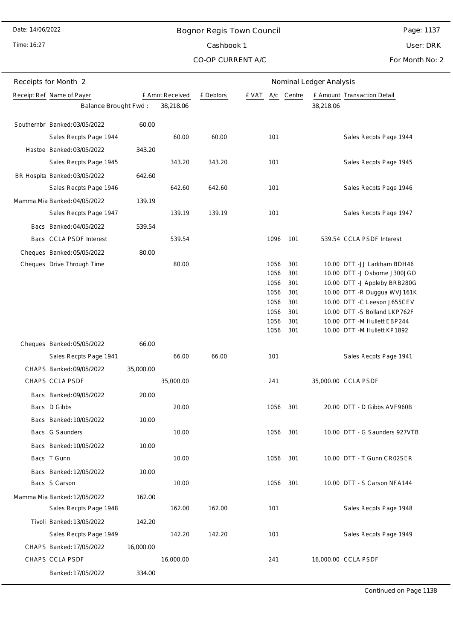Time: 16:27

# Bognor Regis Town Council Cashbook 1

Page: 1137 User: DRK

CO-OP CURRENT A/C

For Month No: 2

| Receipts for Month 2                                     |           |                 |           |       |      |        | Nominal Ledger Analysis |                               |
|----------------------------------------------------------|-----------|-----------------|-----------|-------|------|--------|-------------------------|-------------------------------|
| Receipt Ref Name of Payer                                |           | £ Amnt Received | £ Debtors | e vat | A/c  | Centre |                         | £ Amount Transaction Detail   |
| Balance Brought Fwd:                                     |           | 38,218.06       |           |       |      |        | 38,218.06               |                               |
| Southernbr Banked: 03/05/2022                            | 60.00     |                 |           |       |      |        |                         |                               |
| Sales Recpts Page 1944                                   |           | 60.00           | 60.00     |       | 101  |        |                         | Sales Recpts Page 1944        |
| Hastoe Banked: 03/05/2022                                | 343.20    |                 |           |       |      |        |                         |                               |
| Sales Recpts Page 1945                                   |           | 343.20          | 343.20    |       | 101  |        |                         | Sales Recpts Page 1945        |
| BR Hospita Banked: 03/05/2022                            | 642.60    |                 |           |       |      |        |                         |                               |
| Sales Recpts Page 1946                                   |           | 642.60          | 642.60    |       | 101  |        |                         | Sales Recpts Page 1946        |
| Mamma Mia Banked: 04/05/2022                             | 139.19    |                 |           |       |      |        |                         |                               |
| Sales Recpts Page 1947                                   |           | 139.19          | 139.19    |       | 101  |        |                         | Sales Recpts Page 1947        |
| Bacs Banked: 04/05/2022                                  | 539.54    |                 |           |       |      |        |                         |                               |
| Bacs CCLA PSDF Interest                                  |           | 539.54          |           |       | 1096 | 101    |                         | 539.54 CCLA PSDF Interest     |
|                                                          | 80.00     |                 |           |       |      |        |                         |                               |
| Cheques Banked: 05/05/2022<br>Cheques Drive Through Time |           | 80.00           |           |       | 1056 | 301    |                         | 10.00 DTT - JJ Larkham BDH46  |
|                                                          |           |                 |           |       | 1056 | 301    |                         | 10.00 DTT -J Osborne J300JGO  |
|                                                          |           |                 |           |       | 1056 | 301    |                         | 10.00 DTT -J Appleby BRB280G  |
|                                                          |           |                 |           |       | 1056 | 301    |                         | 10.00 DTT - R Duggua WVJ161K  |
|                                                          |           |                 |           |       | 1056 | 301    |                         | 10.00 DTT -C Leeson J655CEV   |
|                                                          |           |                 |           |       | 1056 | 301    |                         | 10.00 DTT -S Bolland LKP762F  |
|                                                          |           |                 |           |       | 1056 | 301    |                         | 10.00 DTT - M Hullett EBP244  |
|                                                          |           |                 |           |       | 1056 | 301    |                         | 10.00 DTT -M Hullett KP1892   |
| Cheques Banked: 05/05/2022                               | 66.00     |                 |           |       |      |        |                         |                               |
| Sales Recpts Page 1941                                   |           | 66.00           | 66.00     |       | 101  |        |                         | Sales Recpts Page 1941        |
| CHAPS Banked: 09/05/2022                                 | 35,000.00 |                 |           |       |      |        |                         |                               |
| CHAPS CCLA PSDF                                          |           | 35,000.00       |           |       | 241  |        |                         | 35,000.00 CCLA PSDF           |
| Bacs Banked: 09/05/2022                                  | 20.00     |                 |           |       |      |        |                         |                               |
| Bacs D Gibbs                                             |           | 20.00           |           |       | 1056 | 301    |                         | 20.00 DTT - D Gibbs AVF960B   |
| Bacs Banked: 10/05/2022                                  | 10.00     |                 |           |       |      |        |                         |                               |
| Bacs G Saunders                                          |           | 10.00           |           |       | 1056 | 301    |                         | 10.00 DTT - G Saunders 927VTB |
| Bacs Banked: 10/05/2022                                  | 10.00     |                 |           |       |      |        |                         |                               |
| Bacs T Gunn                                              |           | 10.00           |           |       | 1056 | 301    |                         | 10.00 DTT - T Gunn CR02SER    |
| Bacs Banked: 12/05/2022                                  | 10.00     |                 |           |       |      |        |                         |                               |
| Bacs S Carson                                            |           | 10.00           |           |       | 1056 | 301    |                         | 10.00 DTT - S Carson NFA144   |
| Mamma Mia Banked: 12/05/2022                             | 162.00    |                 |           |       |      |        |                         |                               |
| Sales Recpts Page 1948                                   |           | 162.00          | 162.00    |       | 101  |        |                         | Sales Recpts Page 1948        |
| Tivoli Banked: 13/05/2022                                | 142.20    |                 |           |       |      |        |                         |                               |
| Sales Recpts Page 1949                                   |           | 142.20          | 142.20    |       | 101  |        |                         | Sales Recpts Page 1949        |
| CHAPS Banked: 17/05/2022                                 | 16,000.00 |                 |           |       |      |        |                         |                               |
| CHAPS CCLA PSDF                                          |           | 16,000.00       |           |       | 241  |        |                         | 16,000.00 CCLA PSDF           |
| Banked: 17/05/2022                                       | 334.00    |                 |           |       |      |        |                         |                               |
|                                                          |           |                 |           |       |      |        |                         |                               |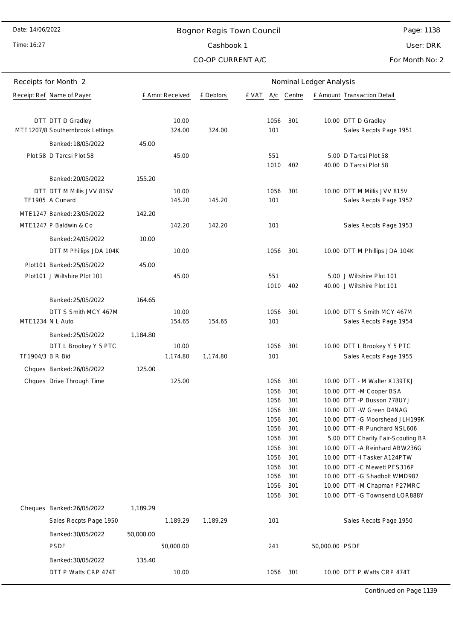Time: 16:27

# Bognor Regis Town Council Cashbook 1

CO-OP CURRENT A/C

Page: 1138

User: DRK

For Month No: 2

| Receipts for Month 2 |                                                       |           |                 | Nominal Ledger Analysis |              |            |                |                                                               |  |
|----------------------|-------------------------------------------------------|-----------|-----------------|-------------------------|--------------|------------|----------------|---------------------------------------------------------------|--|
|                      | Receipt Ref Name of Payer                             |           | £ Amnt Received | £ Debtors               | £ VAT        | A/c Centre |                | £ Amount Transaction Detail                                   |  |
|                      |                                                       |           |                 |                         |              |            |                |                                                               |  |
|                      | DTT DTT D Gradley<br>MTE1207/8 Southernbrook Lettings |           | 10.00<br>324.00 | 324.00                  | 1056<br>101  | 301        |                | 10.00 DTT D Gradley<br>Sales Recpts Page 1951                 |  |
|                      | Banked: 18/05/2022                                    | 45.00     |                 |                         |              |            |                |                                                               |  |
|                      | Plot 58 D Tarcsi Plot 58                              |           | 45.00           |                         | 551<br>1010  | 402        |                | 5.00 D Tarcsi Plot 58<br>40.00 D Tarcsi Plot 58               |  |
|                      | Banked: 20/05/2022                                    | 155.20    |                 |                         |              |            |                |                                                               |  |
|                      | DTT DTT M Millis JVV 815V<br>TF1905 A Cunard          |           | 10.00<br>145.20 | 145.20                  | 1056<br>101  | 301        |                | 10.00 DTT M Millis JVV 815V<br>Sales Recpts Page 1952         |  |
|                      | MTE1247 Banked: 23/05/2022                            | 142.20    |                 |                         |              |            |                |                                                               |  |
|                      | MTE1247 P Baldwin & Co                                |           | 142.20          | 142.20                  | 101          |            |                | Sales Recpts Page 1953                                        |  |
|                      | Banked: 24/05/2022                                    | 10.00     |                 |                         |              |            |                |                                                               |  |
|                      | DTT M Phillips JDA 104K                               |           | 10.00           |                         | 1056         | 301        |                | 10.00 DTT M Phillips JDA 104K                                 |  |
|                      | Plot101 Banked: 25/05/2022                            | 45.00     |                 |                         |              |            |                |                                                               |  |
|                      | Plot101 J Wiltshire Plot 101                          |           | 45.00           |                         | 551          |            |                | 5.00 J Wiltshire Plot 101                                     |  |
|                      |                                                       |           |                 |                         | 1010         | 402        |                | 40.00 J Wiltshire Plot 101                                    |  |
|                      | Banked: 25/05/2022                                    | 164.65    |                 |                         |              |            |                |                                                               |  |
|                      | DTT S Smith MCY 467M                                  |           | 10.00           |                         | 1056         | 301        |                | 10.00 DTT S Smith MCY 467M                                    |  |
| MTE1234 N L Auto     |                                                       |           | 154.65          | 154.65                  | 101          |            |                | Sales Recpts Page 1954                                        |  |
|                      | Banked: 25/05/2022                                    | 1,184.80  |                 |                         |              |            |                |                                                               |  |
|                      | DTT L Brookey Y 5 PTC                                 |           | 10.00           |                         | 1056         | 301        |                | 10.00 DTT L Brookey Y 5 PTC                                   |  |
| TF1904/3 B R Bid     |                                                       |           | 1,174.80        | 1,174.80                | 101          |            |                | Sales Recpts Page 1955                                        |  |
|                      | Chques Banked: 26/05/2022                             | 125.00    |                 |                         |              |            |                |                                                               |  |
|                      | Chques Drive Through Time                             |           | 125.00          |                         | 1056         | 301        |                | 10.00 DTT - M Walter X139TKJ                                  |  |
|                      |                                                       |           |                 |                         | 1056<br>1056 | 301<br>301 |                | 10.00 DTT - M Cooper BSA<br>10.00 DTT -P Busson 778UYJ        |  |
|                      |                                                       |           |                 |                         | 1056         | 301        |                | 10.00 DTT -W Green D4NAG                                      |  |
|                      |                                                       |           |                 |                         | 1056         | 301        |                | 10.00 DTT -G Moorshead JLH199K                                |  |
|                      |                                                       |           |                 |                         | 1056         | 301        |                | 10.00 DTT - R Punchard NSL606                                 |  |
|                      |                                                       |           |                 |                         | 1056         | 301        |                | 5.00 DTT Charity Fair-Scouting BR                             |  |
|                      |                                                       |           |                 |                         | 1056<br>1056 | 301<br>301 |                | 10.00 DTT - A Reinhard ABW236G<br>10.00 DTT -I Tasker A124PTW |  |
|                      |                                                       |           |                 |                         | 1056         | 301        |                | 10.00 DTT - C Mewett PFS316P                                  |  |
|                      |                                                       |           |                 |                         | 1056         | 301        |                | 10.00 DTT -G Shadbolt WMD987                                  |  |
|                      |                                                       |           |                 |                         | 1056         | 301        |                | 10.00 DTT -M Chapman P27MRC                                   |  |
|                      |                                                       |           |                 |                         | 1056         | 301        |                | 10.00 DTT -G Townsend LOR888Y                                 |  |
|                      | Cheques Banked: 26/05/2022                            | 1,189.29  |                 |                         |              |            |                |                                                               |  |
|                      | Sales Recpts Page 1950                                |           | 1,189.29        | 1,189.29                | 101          |            |                | Sales Recpts Page 1950                                        |  |
|                      | Banked: 30/05/2022                                    | 50,000.00 |                 |                         |              |            |                |                                                               |  |
|                      | <b>PSDF</b>                                           |           | 50,000.00       |                         | 241          |            | 50,000.00 PSDF |                                                               |  |
|                      | Banked: 30/05/2022                                    | 135.40    |                 |                         |              |            |                |                                                               |  |
|                      | DTT P Watts CRP 474T                                  |           | 10.00           |                         | 1056         | 301        |                | 10.00 DTT P Watts CRP 474T                                    |  |

Continued on Page 1139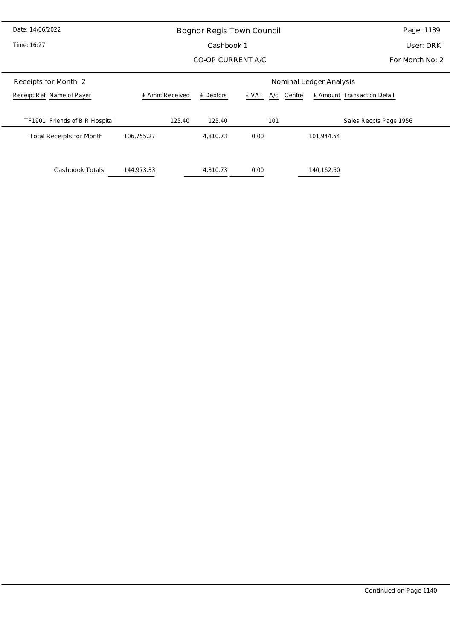| Date: 14/06/2022                | Bognor Regis Town Council | Page: 1139        |                     |                             |  |  |  |  |
|---------------------------------|---------------------------|-------------------|---------------------|-----------------------------|--|--|--|--|
| Time: 16:27                     |                           | User: DRK         |                     |                             |  |  |  |  |
|                                 |                           | CO-OP CURRENT A/C | For Month No: 2     |                             |  |  |  |  |
| Receipts for Month 2            | Nominal Ledger Analysis   |                   |                     |                             |  |  |  |  |
| Receipt Ref Name of Payer       | £ Amnt Received           | £ Debtors         | A/c Centre<br>£ VAT | £ Amount Transaction Detail |  |  |  |  |
| TF1901 Friends of B R Hospital  | 125.40                    | 125.40            | 101                 | Sales Recpts Page 1956      |  |  |  |  |
| <b>Total Receipts for Month</b> | 106,755.27                | 4,810.73          | 0.00                | 101,944.54                  |  |  |  |  |
|                                 |                           |                   |                     |                             |  |  |  |  |
| Cashbook Totals                 | 144,973.33                | 4,810.73          | 0.00                | 140,162.60                  |  |  |  |  |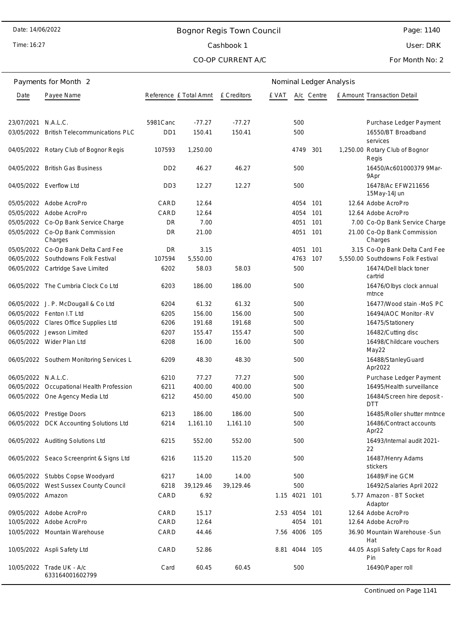#### Time: 16:27

# Bognor Regis Town Council Cashbook 1

Page: 1140

User: DRK

#### CO-OP CURRENT A/C

For Month No: 2

|                     | Payments for Month 2                         | Nominal Ledger Analysis     |           |             |       |               |            |  |                                         |
|---------------------|----------------------------------------------|-----------------------------|-----------|-------------|-------|---------------|------------|--|-----------------------------------------|
| Date                | Payee Name                                   | Reference £ Total Amnt      |           | £ Creditors | e vat |               | A/c Centre |  | E Amount Transaction Detail             |
|                     |                                              |                             |           |             |       |               |            |  |                                         |
| 23/07/2021 N.A.L.C. |                                              | 5981 Canc                   | $-77.27$  | $-77.27$    |       | 500           |            |  | Purchase Ledger Payment                 |
|                     | 03/05/2022 British Telecommunications PLC    | D <sub>D</sub> 1            | 150.41    | 150.41      |       | 500           |            |  | 16550/BT Broadband<br>services          |
|                     | 04/05/2022 Rotary Club of Bognor Regis       | 107593                      | 1,250.00  |             |       | 4749          | 301        |  | 1,250.00 Rotary Club of Bognor<br>Regis |
|                     | 04/05/2022 British Gas Business              | D <sub>D</sub> <sub>2</sub> | 46.27     | 46.27       |       | 500           |            |  | 16450/Ac601000379 9Mar-<br>9Apr         |
|                     | 04/05/2022 Everflow Ltd                      | D <sub>D</sub> 3            | 12.27     | 12.27       |       | 500           |            |  | 16478/Ac EFW211656<br>15May-14Jun       |
|                     | 05/05/2022 Adobe AcroPro                     | CARD                        | 12.64     |             |       | 4054          | 101        |  | 12.64 Adobe AcroPro                     |
|                     | 05/05/2022 Adobe AcroPro                     | CARD                        | 12.64     |             |       | 4054          | 101        |  | 12.64 Adobe AcroPro                     |
|                     | 05/05/2022 Co-Op Bank Service Charge         | DR                          | 7.00      |             |       | 4051          | 101        |  | 7.00 Co-Op Bank Service Charge          |
|                     | 05/05/2022 Co-Op Bank Commission<br>Charges  | DR                          | 21.00     |             |       | 4051          | 101        |  | 21.00 Co-Op Bank Commission<br>Charges  |
|                     | 05/05/2022 Co-Op Bank Delta Card Fee         | DR                          | 3.15      |             |       | 4051          | 101        |  | 3.15 Co-Op Bank Delta Card Fee          |
|                     | 06/05/2022 Southdowns Folk Festival          | 107594                      | 5,550.00  |             |       | 4763          | 107        |  | 5,550.00 Southdowns Folk Festival       |
|                     | 06/05/2022 Cartridge Save Limited            | 6202                        | 58.03     | 58.03       |       | 500           |            |  | 16474/Dell black toner<br>cartrid       |
|                     | 06/05/2022 The Cumbria Clock Co Ltd          | 6203                        | 186.00    | 186.00      |       | 500           |            |  | 16476/Olbys clock annual<br>mtnce       |
|                     | 06/05/2022 J. P. McDougall & Co Ltd          | 6204                        | 61.32     | 61.32       |       | 500           |            |  | 16477/Wood stain -MoS PC                |
|                     | 06/05/2022 Fenton I.T Ltd                    | 6205                        | 156.00    | 156.00      |       | 500           |            |  | 16494/AOC Monitor -RV                   |
|                     | 06/05/2022 Clares Office Supplies Ltd        | 6206                        | 191.68    | 191.68      |       | 500           |            |  | 16475/Stationery                        |
|                     | 06/05/2022 Jewson Limited                    | 6207                        | 155.47    | 155.47      |       | 500           |            |  | 16482/Cutting disc                      |
|                     | 06/05/2022 Wider Plan Ltd                    | 6208                        | 16.00     | 16.00       |       | 500           |            |  | 16498/Childcare vouchers<br>May22       |
|                     | 06/05/2022 Southern Monitoring Services L    | 6209                        | 48.30     | 48.30       |       | 500           |            |  | 16488/StanleyGuard<br>Apr2022           |
| 06/05/2022 N.A.L.C. |                                              | 6210                        | 77.27     | 77.27       |       | 500           |            |  | Purchase Ledger Payment                 |
|                     | 06/05/2022 Occupational Health Profession    | 6211                        | 400.00    | 400.00      |       | 500           |            |  | 16495/Health surveillance               |
|                     | 06/05/2022 One Agency Media Ltd              | 6212                        | 450.00    | 450.00      |       | 500           |            |  | 16484/Screen hire deposit -<br>DTT      |
| 06/05/2022          | <b>Prestige Doors</b>                        | 6213                        | 186.00    | 186.00      |       | 500           |            |  | 16485/Roller shutter mntnce             |
|                     | 06/05/2022 DCK Accounting Solutions Ltd      | 6214                        | 1,161.10  | 1,161.10    |       | 500           |            |  | 16486/Contract accounts<br>Apr22        |
|                     | 06/05/2022 Auditing Solutions Ltd            | 6215                        | 552.00    | 552.00      |       | 500           |            |  | 16493/Internal audit 2021-<br>22        |
|                     | 06/05/2022 Seaco Screenprint & Signs Ltd     | 6216                        | 115.20    | 115.20      |       | 500           |            |  | 16487/Henry Adams<br>stickers           |
|                     | 06/05/2022 Stubbs Copse Woodyard             | 6217                        | 14.00     | 14.00       |       | 500           |            |  | 16489/Fine GCM                          |
|                     | 06/05/2022 West Sussex County Council        | 6218                        | 39,129.46 | 39,129.46   |       | 500           |            |  | 16492/Salaries April 2022               |
| 09/05/2022 Amazon   |                                              | CARD                        | 6.92      |             |       | 1.15 4021     | 101        |  | 5.77 Amazon - BT Socket<br>Adaptor      |
|                     | 09/05/2022 Adobe AcroPro                     | CARD                        | 15.17     |             |       | 2.53 4054     | 101        |  | 12.64 Adobe AcroPro                     |
|                     | 10/05/2022 Adobe AcroPro                     | CARD                        | 12.64     |             |       | 4054          | 101        |  | 12.64 Adobe AcroPro                     |
|                     | 10/05/2022 Mountain Warehouse                | CARD                        | 44.46     |             |       | 7.56 4006 105 |            |  | 36.90 Mountain Warehouse - Sun<br>Hat   |
|                     | 10/05/2022 Aspli Safety Ltd                  | CARD                        | 52.86     |             |       | 8.81 4044 105 |            |  | 44.05 Aspli Safety Caps for Road<br>Pin |
|                     | 10/05/2022 Trade UK - A/c<br>633164001602799 | Card                        | 60.45     | 60.45       |       | 500           |            |  | 16490/Paper roll                        |

Continued on Page 1141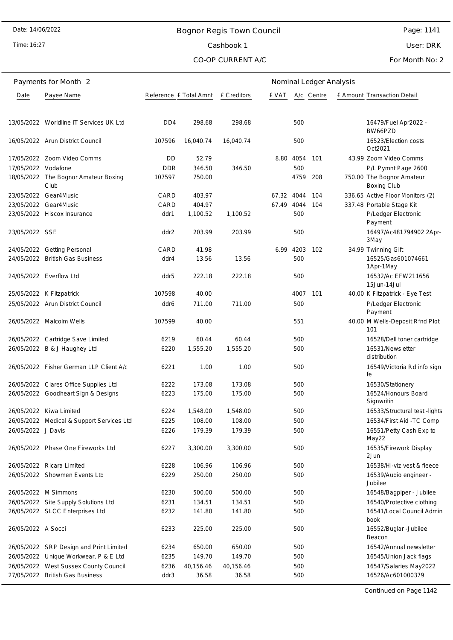# Bognor Regis Town Council Cashbook 1

CO-OP CURRENT A/C

Time: 16:27

## Page: 1141

User: DRK

For Month No: 2

|                     | Payments for Month 2                         |                             |           |                    |            |           | Nominal Ledger Analysis |                                                 |
|---------------------|----------------------------------------------|-----------------------------|-----------|--------------------|------------|-----------|-------------------------|-------------------------------------------------|
| Date                | Payee Name                                   | Reference £ Total Amnt      |           | <b>E</b> Creditors | e vat      |           | A/c Centre              | £ Amount Transaction Detail                     |
|                     | 13/05/2022 Worldline IT Services UK Ltd      | D <sub>D</sub> <sub>4</sub> | 298.68    | 298.68             |            | 500       |                         | 16479/Fuel Apr2022 -                            |
|                     | 16/05/2022 Arun District Council             | 107596                      | 16,040.74 | 16,040.74          |            | 500       |                         | BW66PZD<br>16523/Election costs                 |
|                     | 17/05/2022 Zoom Video Comms                  | DD                          | 52.79     |                    |            | 8.80 4054 | - 101                   | Oct2021<br>43.99 Zoom Video Comms               |
| 17/05/2022 Vodafone |                                              | <b>DDR</b>                  | 346.50    | 346.50             |            | 500       |                         | P/L Pymnt Page 2600                             |
|                     | 18/05/2022 The Bognor Amateur Boxing<br>Club | 107597                      | 750.00    |                    |            | 4759      | 208                     | 750.00 The Bognor Amateur<br><b>Boxing Club</b> |
|                     | 23/05/2022 Gear4Music                        | CARD                        | 403.97    |                    | 67.32 4044 |           | 104                     | 336.65 Active Floor Monitors (2)                |
|                     | 23/05/2022 Gear4Music                        | CARD                        | 404.97    |                    | 67.49      | 4044      | 104                     | 337.48 Portable Stage Kit                       |
|                     | 23/05/2022 Hiscox Insurance                  | ddr1                        | 1,100.52  | 1,100.52           |            | 500       |                         | P/Ledger Electronic<br>Payment                  |
| 23/05/2022 SSE      |                                              | ddr2                        | 203.99    | 203.99             |            | 500       |                         | 16497/Ac481794902 2Apr-<br>3May                 |
|                     | 24/05/2022 Getting Personal                  | CARD                        | 41.98     |                    | 6.99       | 4203 102  |                         | 34.99 Twinning Gift                             |
|                     | 24/05/2022 British Gas Business              | ddr4                        | 13.56     | 13.56              |            | 500       |                         | 16525/Gas601074661<br>1Apr-1May                 |
|                     | 24/05/2022 Everflow Ltd                      | ddr5                        | 222.18    | 222.18             |            | 500       |                         | 16532/Ac EFW211656<br>15Jun-14Jul               |
|                     | 25/05/2022 K Fitzpatrick                     | 107598                      | 40.00     |                    |            | 4007      | 101                     | 40.00 K Fitzpatrick - Eye Test                  |
|                     | 25/05/2022 Arun District Council             | ddr6                        | 711.00    | 711.00             |            | 500       |                         | P/Ledger Electronic<br>Payment                  |
|                     | 26/05/2022 Malcolm Wells                     | 107599                      | 40.00     |                    |            | 551       |                         | 40.00 M Wells-Deposit Rfnd Plot<br>101          |
|                     | 26/05/2022 Cartridge Save Limited            | 6219                        | 60.44     | 60.44              |            | 500       |                         | 16528/Dell toner cartridge                      |
|                     | 26/05/2022 B & J Haughey Ltd                 | 6220                        | 1,555.20  | 1,555.20           |            | 500       |                         | 16531/Newsletter<br>distribution                |
|                     | 26/05/2022 Fisher German LLP Client A/c      | 6221                        | 1.00      | 1.00               |            | 500       |                         | 16549/Victoria Rd info sign<br>fe               |
|                     | 26/05/2022 Clares Office Supplies Ltd        | 6222                        | 173.08    | 173.08             |            | 500       |                         | 16530/Stationery                                |
|                     | 26/05/2022 Goodheart Sign & Designs          | 6223                        | 175.00    | 175.00             |            | 500       |                         | 16524/Honours Board<br>Signwritin               |
|                     | 26/05/2022 Kiwa Limited                      | 6224                        | 1,548.00  | 1,548.00           |            | 500       |                         | 16533/Structural test -lights                   |
|                     | 26/05/2022 Medical & Support Services Ltd    | 6225                        | 108.00    | 108.00             |            | 500       |                         | 16534/First Aid -TC Comp                        |
| 26/05/2022 J Davis  |                                              | 6226                        | 179.39    | 179.39             |            | 500       |                         | 16551/Petty Cash Exp to<br>May22                |
|                     | 26/05/2022 Phase One Fireworks Ltd           | 6227                        | 3,300.00  | 3,300.00           |            | 500       |                         | 16535/Firework Display<br>2Jun                  |
|                     | 26/05/2022 Ricara Limited                    | 6228                        | 106.96    | 106.96             |            | 500       |                         | 16538/Hi-viz vest & fleece                      |
|                     | 26/05/2022 Showmen Events Ltd                | 6229                        | 250.00    | 250.00             |            | 500       |                         | 16539/Audio engineer -<br>Jubilee               |
|                     | 26/05/2022 M Simmons                         | 6230                        | 500.00    | 500.00             |            | 500       |                         | 16548/Bagpiper - Jubilee                        |
|                     | 26/05/2022 Site Supply Solutions Ltd         | 6231                        | 134.51    | 134.51             |            | 500       |                         | 16540/Protective clothing                       |
|                     | 26/05/2022 SLCC Enterprises Ltd              | 6232                        | 141.80    | 141.80             |            | 500       |                         | 16541/Local Council Admin<br>book               |
| 26/05/2022 A Socci  |                                              | 6233                        | 225.00    | 225.00             |            | 500       |                         | 16552/Buglar -Jubilee<br>Beacon                 |
|                     | 26/05/2022 SRP Design and Print Limited      | 6234                        | 650.00    | 650.00             |            | 500       |                         | 16542/Annual newsletter                         |
|                     | 26/05/2022 Unique Workwear, P & E Ltd        | 6235                        | 149.70    | 149.70             |            | 500       |                         | 16545/Union Jack flags                          |
|                     | 26/05/2022 West Sussex County Council        | 6236                        | 40,156.46 | 40,156.46          |            | 500       |                         | 16547/Salaries May2022                          |
|                     | 27/05/2022 British Gas Business              | ddr3                        | 36.58     | 36.58              |            | 500       |                         | 16526/Ac601000379                               |

Continued on Page 1142